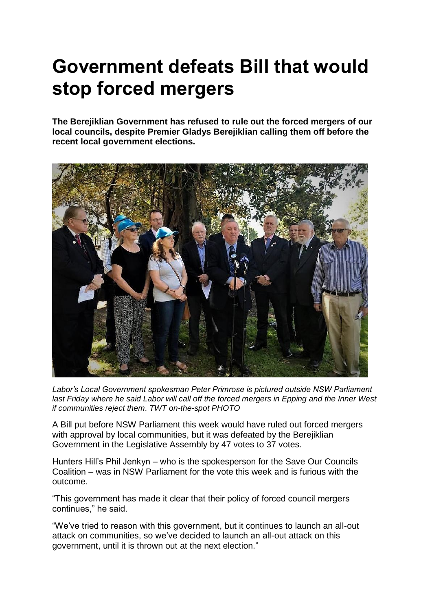## **Government defeats Bill that would stop forced mergers**

**The Berejiklian Government has refused to rule out the forced mergers of our local councils, despite Premier Gladys Berejiklian calling them off before the recent local government elections.**



*Labor's Local Government spokesman Peter Primrose is pictured outside NSW Parliament last Friday where he said Labor will call off the forced mergers in Epping and the Inner West if communities reject them. TWT on-the-spot PHOTO*

A Bill put before NSW Parliament this week would have ruled out forced mergers with approval by local communities, but it was defeated by the Berejiklian Government in the Legislative Assembly by 47 votes to 37 votes.

Hunters Hill's Phil Jenkyn – who is the spokesperson for the Save Our Councils Coalition – was in NSW Parliament for the vote this week and is furious with the outcome.

"This government has made it clear that their policy of forced council mergers continues," he said.

"We've tried to reason with this government, but it continues to launch an all-out attack on communities, so we've decided to launch an all-out attack on this government, until it is thrown out at the next election."